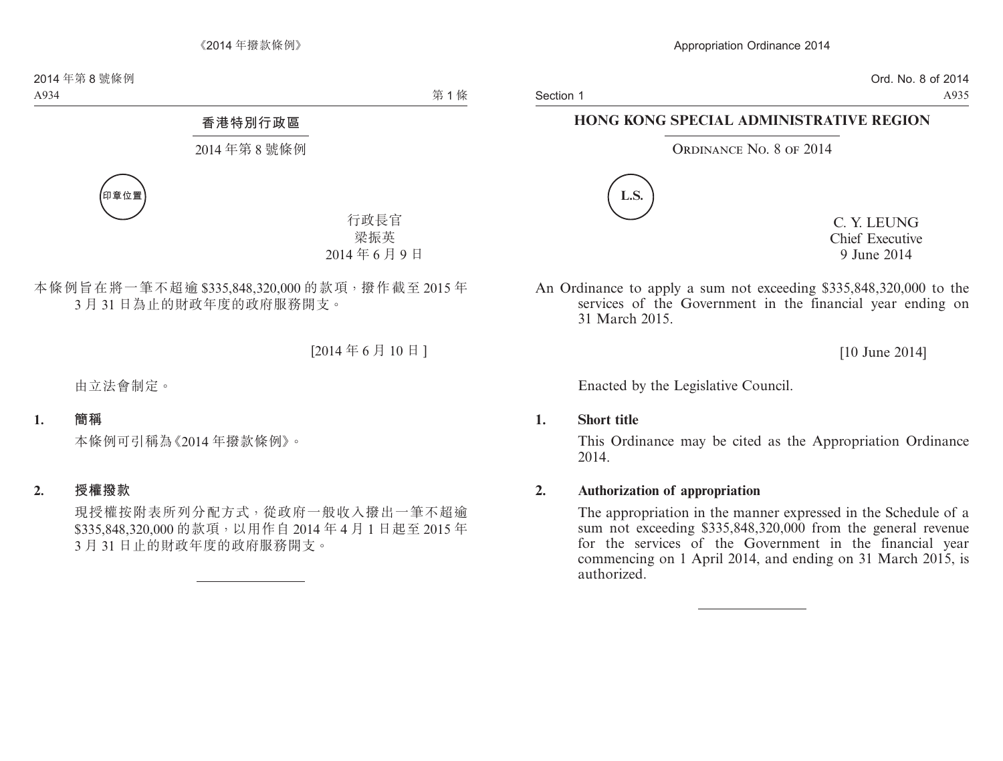Section 1

Ord. No. 8 of 2014 A935

### **HONG KONG SPECIAL ADMINISTRATIVE REGION**

#### ORDINANCE NO. 8 OF 2014



C. Y. LEUNG Chief Executive 9 June 2014

An Ordinance to apply a sum not exceeding \$335,848,320,000 to the services of the Government in the financial year ending on 31 March 2015.

[10 June 2014]

Enacted by the Legislative Council.

#### **1. Short title**

This Ordinance may be cited as the Appropriation Ordinance 2014.

#### **2. Authorization of appropriation**

The appropriation in the manner expressed in the Schedule of a sum not exceeding \$335,848,320,000 from the general revenue for the services of the Government in the financial year commencing on 1 April 2014, and ending on 31 March 2015, is authorized.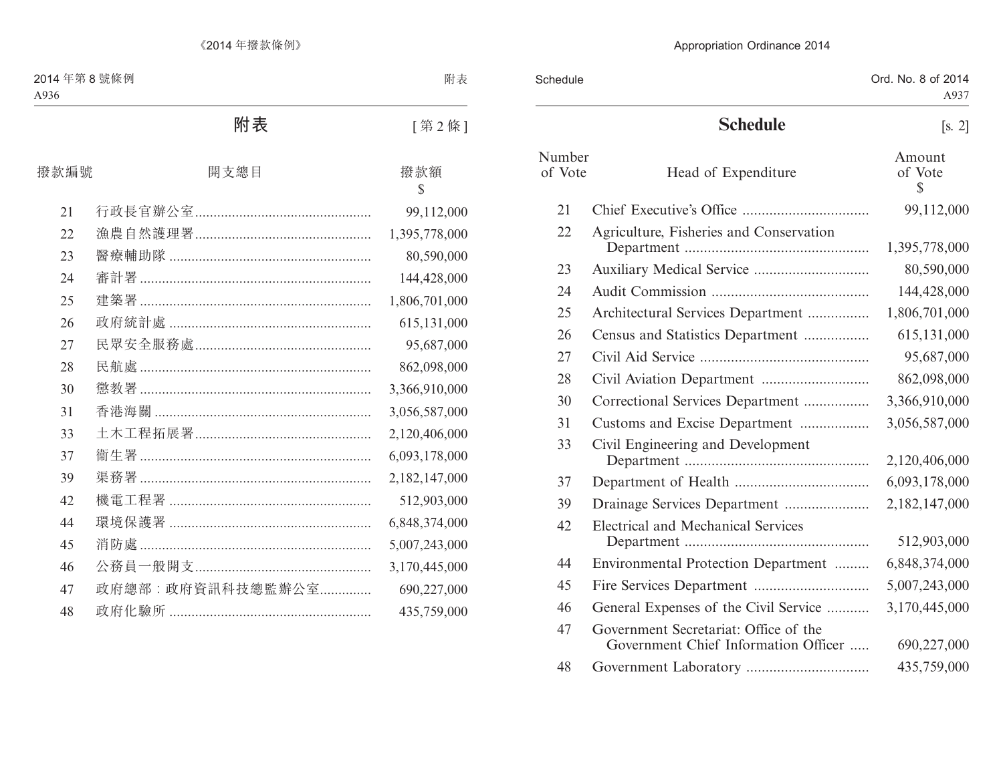| Schedule          |                                                                               | Ord. No. 8 of 2014<br>A937        |
|-------------------|-------------------------------------------------------------------------------|-----------------------------------|
|                   | <b>Schedule</b>                                                               | $\left[ \text{s. 2} \right]$      |
| Number<br>of Vote | Head of Expenditure                                                           | Amount<br>of Vote<br>$\mathbb{S}$ |
| 21                |                                                                               | 99,112,000                        |
| 22                | Agriculture, Fisheries and Conservation                                       | 1,395,778,000                     |
| 23                |                                                                               | 80,590,000                        |
| 24                |                                                                               | 144,428,000                       |
| 25                | Architectural Services Department                                             | 1,806,701,000                     |
| 26                | Census and Statistics Department                                              | 615,131,000                       |
| 27                |                                                                               | 95,687,000                        |
| 28                |                                                                               | 862,098,000                       |
| 30                | Correctional Services Department                                              | 3,366,910,000                     |
| 31                | Customs and Excise Department                                                 | 3,056,587,000                     |
| 33                | Civil Engineering and Development                                             | 2,120,406,000                     |
| 37                |                                                                               | 6,093,178,000                     |
| 39                | Drainage Services Department                                                  | 2,182,147,000                     |
| 42                | <b>Electrical and Mechanical Services</b>                                     | 512,903,000                       |
| 44                | Environmental Protection Department                                           | 6,848,374,000                     |
| 45                |                                                                               | 5,007,243,000                     |
| 46                | General Expenses of the Civil Service                                         | 3,170,445,000                     |
| 47                | Government Secretariat: Office of the<br>Government Chief Information Officer | 690,227,000                       |
| 48                |                                                                               | 435,759,000                       |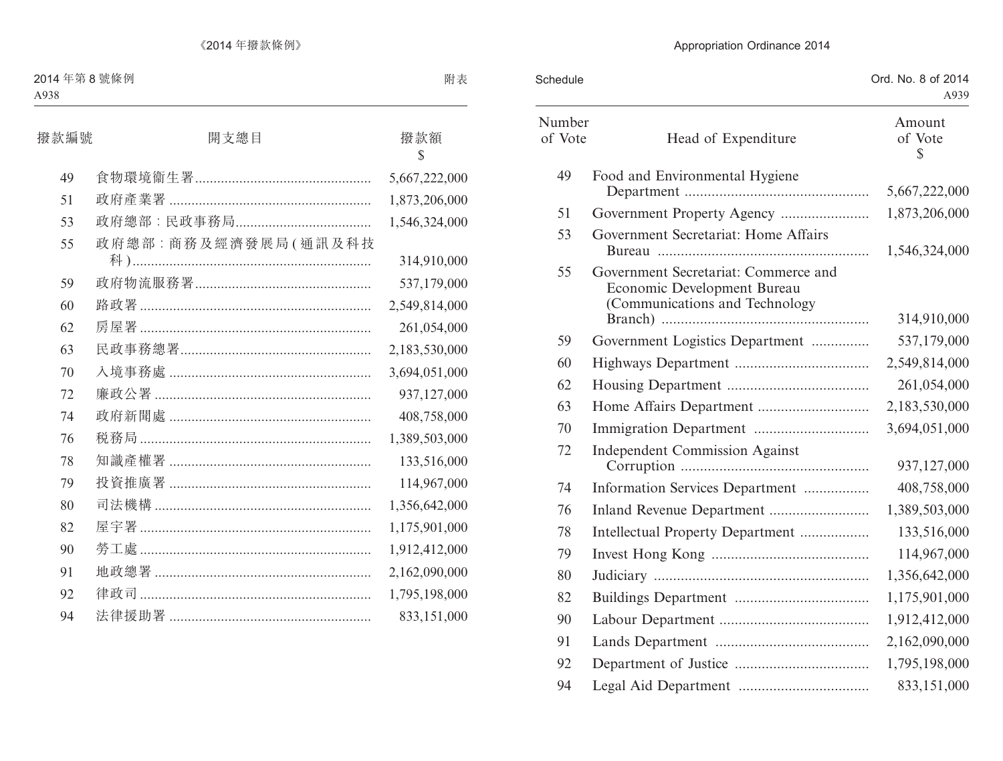| Schedule          |                                                                                                       | Ord. No. 8 of 2014<br>A939        |
|-------------------|-------------------------------------------------------------------------------------------------------|-----------------------------------|
| Number<br>of Vote | Head of Expenditure                                                                                   | Amount<br>of Vote<br>$\mathbb{S}$ |
| 49                | Food and Environmental Hygiene                                                                        | 5,667,222,000                     |
| 51                |                                                                                                       | 1,873,206,000                     |
| 53                | Government Secretariat: Home Affairs                                                                  | 1,546,324,000                     |
| 55                | Government Secretariat: Commerce and<br>Economic Development Bureau<br>(Communications and Technology | 314,910,000                       |
| 59                | Government Logistics Department                                                                       | 537,179,000                       |
| 60                |                                                                                                       | 2,549,814,000                     |
| 62                |                                                                                                       | 261,054,000                       |
| 63                |                                                                                                       | 2,183,530,000                     |
| 70                |                                                                                                       | 3,694,051,000                     |
| 72                | <b>Independent Commission Against</b>                                                                 | 937,127,000                       |
| 74                | Information Services Department                                                                       | 408,758,000                       |
| 76                |                                                                                                       | 1,389,503,000                     |
| 78                | Intellectual Property Department                                                                      | 133,516,000                       |
| 79                |                                                                                                       | 114,967,000                       |
| 80                |                                                                                                       | 1,356,642,000                     |
| 82                |                                                                                                       | 1,175,901,000                     |
| 90                |                                                                                                       | 1,912,412,000                     |
| 91                |                                                                                                       | 2,162,090,000                     |
| 92                |                                                                                                       | 1,795,198,000                     |
| 94                |                                                                                                       | 833,151,000                       |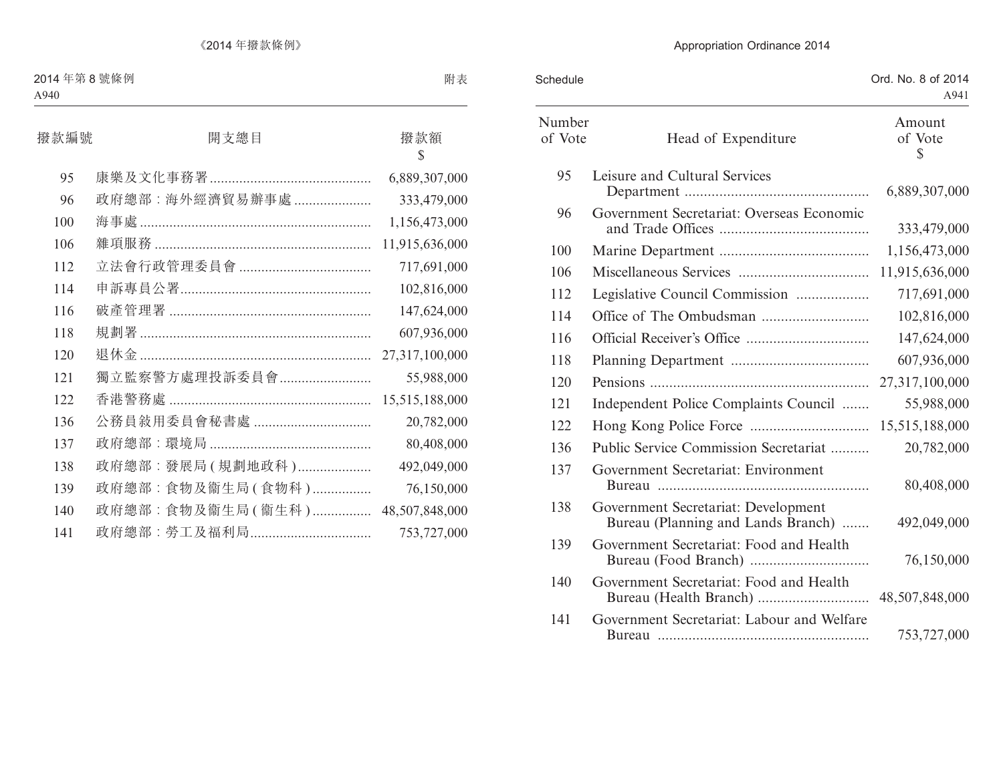| Schedule          |                                                                           | Ord. No. 8 of 2014<br>A941 |
|-------------------|---------------------------------------------------------------------------|----------------------------|
| Number<br>of Vote | Head of Expenditure                                                       | Amount<br>of Vote<br>\$    |
| 95                | Leisure and Cultural Services                                             | 6,889,307,000              |
| 96                | Government Secretariat: Overseas Economic                                 | 333,479,000                |
| 100               |                                                                           | 1,156,473,000              |
| 106               |                                                                           | 11,915,636,000             |
| 112               | Legislative Council Commission                                            | 717,691,000                |
| 114               |                                                                           | 102,816,000                |
| 116               |                                                                           | 147,624,000                |
| 118               |                                                                           | 607,936,000                |
| 120               |                                                                           | 27,317,100,000             |
| 121               | Independent Police Complaints Council                                     | 55,988,000                 |
| 122               |                                                                           | 15,515,188,000             |
| 136               | Public Service Commission Secretariat                                     | 20,782,000                 |
| 137               | Government Secretariat: Environment                                       | 80,408,000                 |
| 138               | Government Secretariat: Development<br>Bureau (Planning and Lands Branch) | 492,049,000                |
| 139               | Government Secretariat: Food and Health                                   | 76,150,000                 |
| 140               | Government Secretariat: Food and Health                                   | 48,507,848,000             |
| 141               | Government Secretariat: Labour and Welfare                                | 753,727,000                |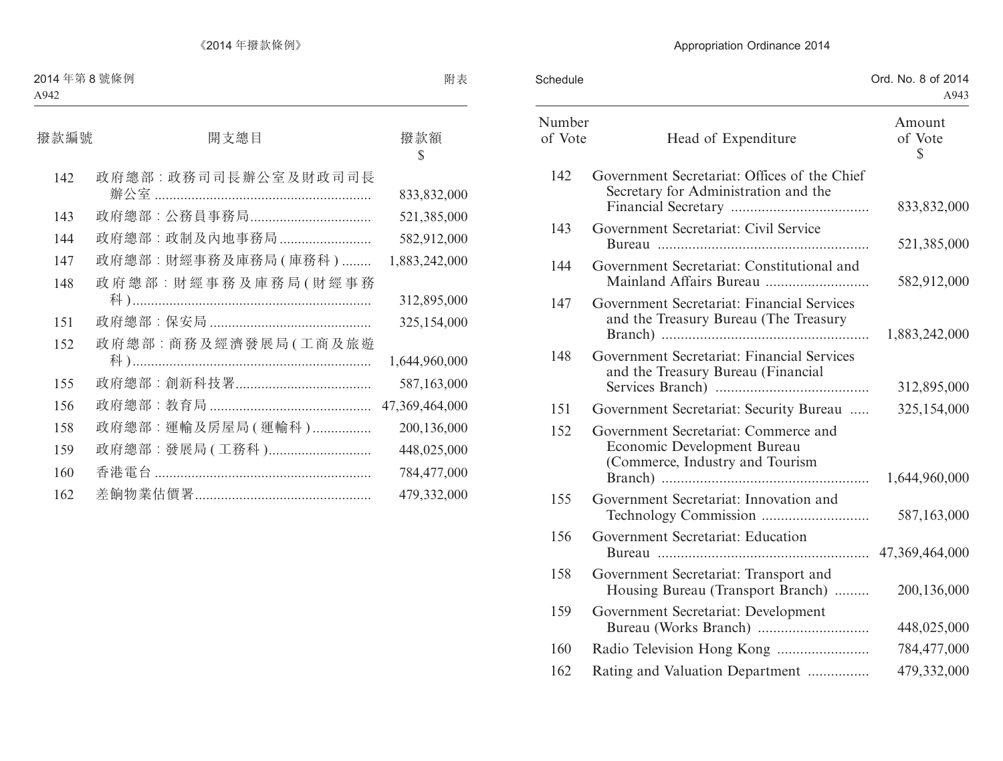| Schedule          |                                                                                                        | Ord. No. 8 of 2014<br>A943 |
|-------------------|--------------------------------------------------------------------------------------------------------|----------------------------|
| Number<br>of Vote | Head of Expenditure                                                                                    | Amount<br>of Vote<br>S     |
| 142               | Government Secretariat: Offices of the Chief<br>Secretary for Administration and the                   | 833,832,000                |
| 143               | Government Secretariat: Civil Service                                                                  | 521,385,000                |
| 144               | Government Secretariat: Constitutional and                                                             | 582,912,000                |
| 147               | Government Secretariat: Financial Services<br>and the Treasury Bureau (The Treasury                    | 1,883,242,000              |
| 148               | Government Secretariat: Financial Services<br>and the Treasury Bureau (Financial                       | 312,895,000                |
| 151               | Government Secretariat: Security Bureau                                                                | 325,154,000                |
| 152               | Government Secretariat: Commerce and<br>Economic Development Bureau<br>(Commerce, Industry and Tourism | 1,644,960,000              |
| 155               | Government Secretariat: Innovation and                                                                 | 587,163,000                |
| 156               | Government Secretariat: Education                                                                      |                            |
| 158               | Government Secretariat: Transport and<br>Housing Bureau (Transport Branch)                             | 200,136,000                |
| 159               | Government Secretariat: Development                                                                    | 448,025,000                |
| 160               |                                                                                                        | 784,477,000                |
| 162               | Rating and Valuation Department                                                                        | 479,332,000                |